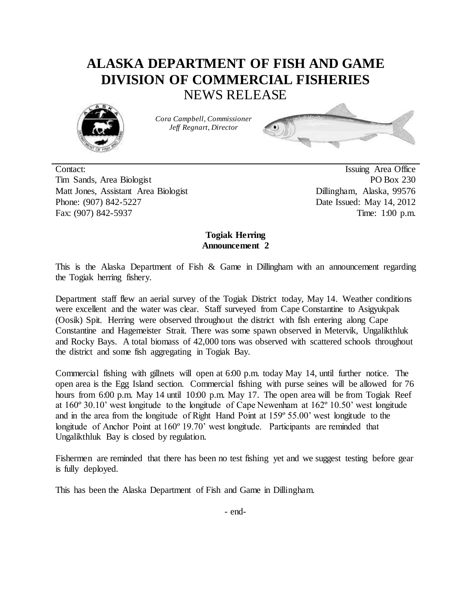## **ALASKA DEPARTMENT OF FISH AND GAME DIVISION OF COMMERCIAL FISHERIES** NEWS RELEASE



*Cora Campbell, Commissioner Jeff Regnart, Director*



Contact: Issuing Area Office Tim Sands, Area Biologist PO Box 230 Matt Jones, Assistant Area Biologist Dillingham, Alaska, 99576 Phone: (907) 842-5227 Date Issued: May 14, 2012 Fax: (907) 842-5937 Time: 1:00 p.m.

## **Togiak Herring Announcement 2**

This is the Alaska Department of Fish & Game in Dillingham with an announcement regarding the Togiak herring fishery.

Department staff flew an aerial survey of the Togiak District today, May 14. Weather conditions were excellent and the water was clear. Staff surveyed from Cape Constantine to Asigyukpak (Oosik) Spit. Herring were observed throughout the district with fish entering along Cape Constantine and Hagemeister Strait. There was some spawn observed in Metervik, Ungalikthluk and Rocky Bays. A total biomass of 42,000 tons was observed with scattered schools throughout the district and some fish aggregating in Togiak Bay.

Commercial fishing with gillnets will open at 6:00 p.m. today May 14, until further notice. The open area is the Egg Island section. Commercial fishing with purse seines will be allowed for 76 hours from 6:00 p.m. May 14 until 10:00 p.m. May 17. The open area will be from Togiak Reef at 160º 30.10' west longitude to the longitude of Cape Newenham at 162º 10.50' west longitude and in the area from the longitude of Right Hand Point at 159º 55.00' west longitude to the longitude of Anchor Point at 160° 19.70' west longitude. Participants are reminded that Ungalikthluk Bay is closed by regulation.

Fishermen are reminded that there has been no test fishing yet and we suggest testing before gear is fully deployed.

This has been the Alaska Department of Fish and Game in Dillingham.

- end-